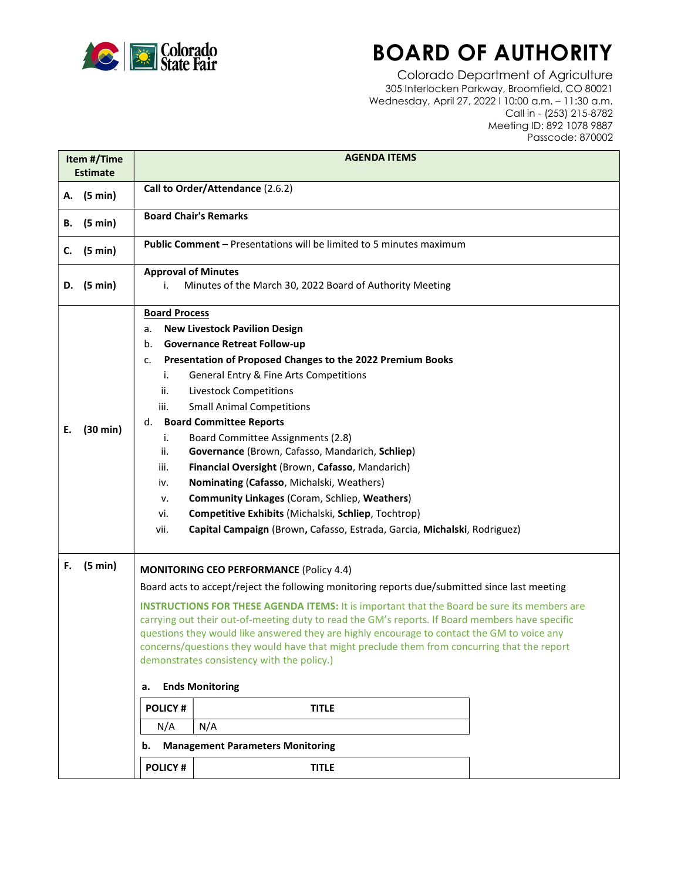

## BOARD OF AUTHORITY

Colorado Department of Agriculture 305 Interlocken Parkway, Broomfield, CO 80021 Wednesday, April 27, 2022 l 10:00 a.m. – 11:30 a.m. Call in - (253) 215-8782 Meeting ID: 892 1078 9887 Passcode: 870002

| Item #/Time<br><b>Estimate</b> |                   | <b>AGENDA ITEMS</b>                                                                                                                                                                                                                                                                                                                                                                                                                                                                                                                                                                                                                                                                                                                                                                                 |
|--------------------------------|-------------------|-----------------------------------------------------------------------------------------------------------------------------------------------------------------------------------------------------------------------------------------------------------------------------------------------------------------------------------------------------------------------------------------------------------------------------------------------------------------------------------------------------------------------------------------------------------------------------------------------------------------------------------------------------------------------------------------------------------------------------------------------------------------------------------------------------|
| А.                             | $(5 \text{ min})$ | Call to Order/Attendance (2.6.2)                                                                                                                                                                                                                                                                                                                                                                                                                                                                                                                                                                                                                                                                                                                                                                    |
| В.                             | $(5 \text{ min})$ | <b>Board Chair's Remarks</b>                                                                                                                                                                                                                                                                                                                                                                                                                                                                                                                                                                                                                                                                                                                                                                        |
| C.                             | (5 min)           | <b>Public Comment - Presentations will be limited to 5 minutes maximum</b>                                                                                                                                                                                                                                                                                                                                                                                                                                                                                                                                                                                                                                                                                                                          |
|                                | D. $(5 min)$      | <b>Approval of Minutes</b><br>Minutes of the March 30, 2022 Board of Authority Meeting<br>i.                                                                                                                                                                                                                                                                                                                                                                                                                                                                                                                                                                                                                                                                                                        |
| Е.                             | (30 min)          | <b>Board Process</b><br><b>New Livestock Pavilion Design</b><br>а.<br><b>Governance Retreat Follow-up</b><br>b.<br>Presentation of Proposed Changes to the 2022 Premium Books<br>c.<br>General Entry & Fine Arts Competitions<br>i.<br><b>Livestock Competitions</b><br>ii.<br><b>Small Animal Competitions</b><br>iii.<br><b>Board Committee Reports</b><br>d.<br>Board Committee Assignments (2.8)<br>i.<br>ii.<br>Governance (Brown, Cafasso, Mandarich, Schliep)<br>Financial Oversight (Brown, Cafasso, Mandarich)<br>iii.<br>Nominating (Cafasso, Michalski, Weathers)<br>iv.<br><b>Community Linkages (Coram, Schliep, Weathers)</b><br>v.<br>Competitive Exhibits (Michalski, Schliep, Tochtrop)<br>vi.<br>Capital Campaign (Brown, Cafasso, Estrada, Garcia, Michalski, Rodriguez)<br>vii. |
| F.                             | (5 min)           | <b>MONITORING CEO PERFORMANCE (Policy 4.4)</b><br>Board acts to accept/reject the following monitoring reports due/submitted since last meeting<br><b>INSTRUCTIONS FOR THESE AGENDA ITEMS:</b> It is important that the Board be sure its members are<br>carrying out their out-of-meeting duty to read the GM's reports. If Board members have specific<br>questions they would like answered they are highly encourage to contact the GM to voice any<br>concerns/questions they would have that might preclude them from concurring that the report<br>demonstrates consistency with the policy.)<br><b>Ends Monitoring</b><br>а.<br><b>POLICY#</b><br><b>TITLE</b><br>N/A<br>N/A<br><b>Management Parameters Monitoring</b><br>b.<br><b>POLICY#</b><br><b>TITLE</b>                             |